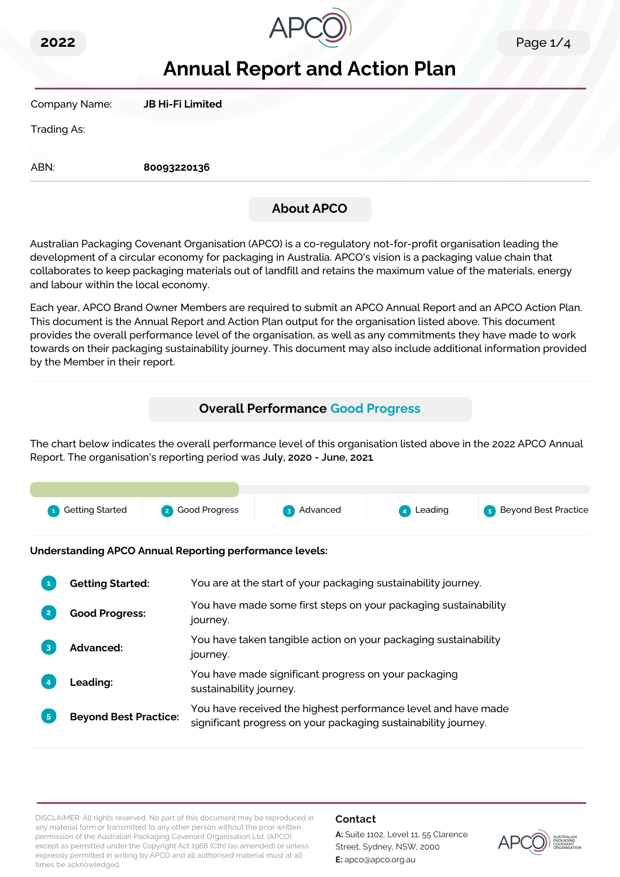



# **Annual Report and Action Plan**

Company Name: **JB Hi-Fi Limited**

Trading As:

ABN: **80093220136**

# **About APCO**

Australian Packaging Covenant Organisation (APCO) is a co-regulatory not-for-profit organisation leading the development of a circular economy for packaging in Australia. APCO's vision is a packaging value chain that collaborates to keep packaging materials out of landfill and retains the maximum value of the materials, energy and labour within the local economy.

Each year, APCO Brand Owner Members are required to submit an APCO Annual Report and an APCO Action Plan. This document is the Annual Report and Action Plan output for the organisation listed above. This document provides the overall performance level of the organisation, as well as any commitments they have made to work towards on their packaging sustainability journey. This document may also include additional information provided by the Member in their report.

# **Overall Performance Good Progress**

The chart below indicates the overall performance level of this organisation listed above in the 2022 APCO Annual Report. The organisation's reporting period was **July, 2020 - June, 2021**.



**Understanding APCO Annual Reporting performance levels:**

|                | <b>Getting Started:</b>      | You are at the start of your packaging sustainability journey.                                                                  |
|----------------|------------------------------|---------------------------------------------------------------------------------------------------------------------------------|
|                | <b>Good Progress:</b>        | You have made some first steps on your packaging sustainability<br>journey.                                                     |
| 3              | <b>Advanced:</b>             | You have taken tangible action on your packaging sustainability<br>journey.                                                     |
|                | <b>Leading:</b>              | You have made significant progress on your packaging<br>sustainability journey.                                                 |
| 5 <sub>5</sub> | <b>Beyond Best Practice:</b> | You have received the highest performance level and have made<br>significant progress on your packaging sustainability journey. |

DISCLAIMER: All rights reserved. No part of this document may be reproduced in any material form or transmitted to any other person without the prior written permission of the Australian Packaging Covenant Organisation Ltd. (APCO) except as permitted under the Copyright Act 1968 (Cth) (as amended) or unless expressly permitted in writing by APCO and all authorised material must at all times be acknowledged.

### **Contact**

**A:** Suite 1102, Level 11, 55 Clarence Street, Sydney, NSW, 2000 **E:** apco@apco.org.au

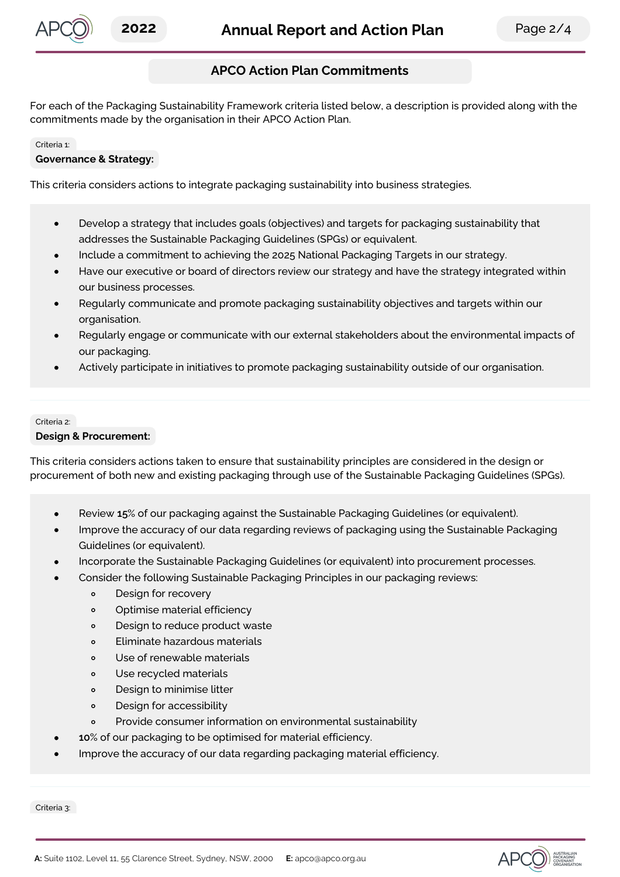

# **APCO Action Plan Commitments**

For each of the Packaging Sustainability Framework criteria listed below, a description is provided along with the commitments made by the organisation in their APCO Action Plan.

#### Criteria 1:

#### **Governance & Strategy:**

This criteria considers actions to integrate packaging sustainability into business strategies.

- Develop a strategy that includes goals (objectives) and targets for packaging sustainability that  $\bullet$ addresses the Sustainable Packaging Guidelines (SPGs) or equivalent.
- Include a commitment to achieving the 2025 National Packaging Targets in our strategy.
- Have our executive or board of directors review our strategy and have the strategy integrated within our business processes.
- Regularly communicate and promote packaging sustainability objectives and targets within our organisation.
- Regularly engage or communicate with our external stakeholders about the environmental impacts of our packaging.
- Actively participate in initiatives to promote packaging sustainability outside of our organisation.

# Criteria 2:

#### **Design & Procurement:**

This criteria considers actions taken to ensure that sustainability principles are considered in the design or procurement of both new and existing packaging through use of the Sustainable Packaging Guidelines (SPGs).

- Review **15**% of our packaging against the Sustainable Packaging Guidelines (or equivalent).
- Improve the accuracy of our data regarding reviews of packaging using the Sustainable Packaging Guidelines (or equivalent).
- Incorporate the Sustainable Packaging Guidelines (or equivalent) into procurement processes.
- Consider the following Sustainable Packaging Principles in our packaging reviews:
	- $\circ$ Design for recovery
	- Optimise material efficiency  $\circ$
	- Design to reduce product waste  $\circ$
	- Eliminate hazardous materials  $\Omega$
	- $\circ$ Use of renewable materials
	- Use recycled materials  $\Omega$
	- Design to minimise litter  $\circ$
	- Design for accessibility  $\Omega$
	- Provide consumer information on environmental sustainability  $\circ$
- **10**% of our packaging to be optimised for material efficiency.
- Improve the accuracy of our data regarding packaging material efficiency.

Criteria 3:

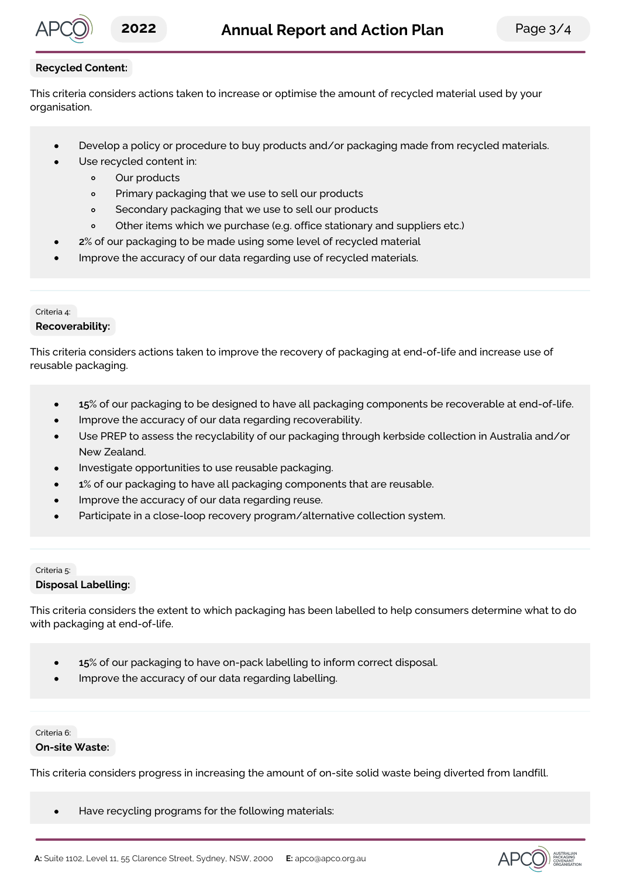

## **Recycled Content:**

This criteria considers actions taken to increase or optimise the amount of recycled material used by your organisation.

- Develop a policy or procedure to buy products and/or packaging made from recycled materials.
	- Use recycled content in:
		- Our products  $\circ$
		- $\circ$ Primary packaging that we use to sell our products
		- $\circ$ Secondary packaging that we use to sell our products
		- $\circ$ Other items which we purchase (e.g. office stationary and suppliers etc.)
	- **2**% of our packaging to be made using some level of recycled material
- Improve the accuracy of our data regarding use of recycled materials.

## Criteria 4:

### **Recoverability:**

This criteria considers actions taken to improve the recovery of packaging at end-of-life and increase use of reusable packaging.

- **15**% of our packaging to be designed to have all packaging components be recoverable at end-of-life.  $\bullet$
- Improve the accuracy of our data regarding recoverability.
- Use PREP to assess the recyclability of our packaging through kerbside collection in Australia and/or New Zealand.
- Investigate opportunities to use reusable packaging.
- **1**% of our packaging to have all packaging components that are reusable.
- Improve the accuracy of our data regarding reuse.
- Participate in a close-loop recovery program/alternative collection system.

### Criteria 5: **Disposal Labelling:**

This criteria considers the extent to which packaging has been labelled to help consumers determine what to do with packaging at end-of-life.

- **15**% of our packaging to have on-pack labelling to inform correct disposal.  $\bullet$
- Improve the accuracy of our data regarding labelling.

## Criteria 6:

### **On-site Waste:**

This criteria considers progress in increasing the amount of on-site solid waste being diverted from landfill.

 $\bullet$ Have recycling programs for the following materials: